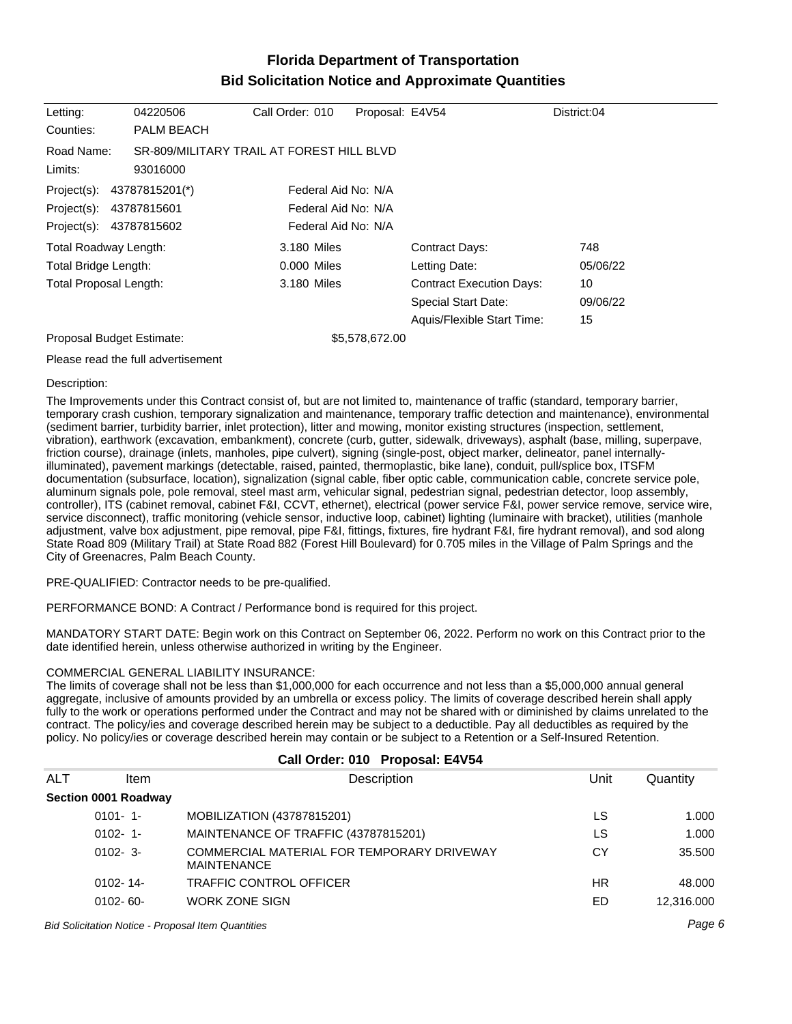# **Florida Department of Transportation Bid Solicitation Notice and Approximate Quantities**

| Letting:                      | 04220506          | Call Order: 010                           | Proposal: E4V54 |                                 | District:04 |
|-------------------------------|-------------------|-------------------------------------------|-----------------|---------------------------------|-------------|
| Counties:                     | <b>PALM BEACH</b> |                                           |                 |                                 |             |
| Road Name:                    |                   | SR-809/MILITARY TRAIL AT FOREST HILL BLVD |                 |                                 |             |
| Limits:                       | 93016000          |                                           |                 |                                 |             |
| Project(s): 43787815201(*)    |                   | Federal Aid No: N/A                       |                 |                                 |             |
| Project(s):                   | 43787815601       | Federal Aid No: N/A                       |                 |                                 |             |
| Project(s): 43787815602       |                   | Federal Aid No: N/A                       |                 |                                 |             |
| <b>Total Roadway Length:</b>  |                   | 3.180 Miles                               |                 | <b>Contract Days:</b>           | 748         |
| Total Bridge Length:          |                   | 0.000 Miles                               |                 | Letting Date:                   | 05/06/22    |
| <b>Total Proposal Length:</b> |                   | 3.180 Miles                               |                 | <b>Contract Execution Days:</b> | 10          |
|                               |                   |                                           |                 | <b>Special Start Date:</b>      | 09/06/22    |
|                               |                   |                                           |                 | Aquis/Flexible Start Time:      | 15          |
| Proposal Budget Estimate:     |                   |                                           | \$5,578,672.00  |                                 |             |

### Please read the full advertisement

### Description:

The Improvements under this Contract consist of, but are not limited to, maintenance of traffic (standard, temporary barrier, temporary crash cushion, temporary signalization and maintenance, temporary traffic detection and maintenance), environmental (sediment barrier, turbidity barrier, inlet protection), litter and mowing, monitor existing structures (inspection, settlement, vibration), earthwork (excavation, embankment), concrete (curb, gutter, sidewalk, driveways), asphalt (base, milling, superpave, friction course), drainage (inlets, manholes, pipe culvert), signing (single-post, object marker, delineator, panel internallyilluminated), pavement markings (detectable, raised, painted, thermoplastic, bike lane), conduit, pull/splice box, ITSFM documentation (subsurface, location), signalization (signal cable, fiber optic cable, communication cable, concrete service pole, aluminum signals pole, pole removal, steel mast arm, vehicular signal, pedestrian signal, pedestrian detector, loop assembly, controller), ITS (cabinet removal, cabinet F&I, CCVT, ethernet), electrical (power service F&I, power service remove, service wire, service disconnect), traffic monitoring (vehicle sensor, inductive loop, cabinet) lighting (luminaire with bracket), utilities (manhole adjustment, valve box adjustment, pipe removal, pipe F&I, fittings, fixtures, fire hydrant F&I, fire hydrant removal), and sod along State Road 809 (Military Trail) at State Road 882 (Forest Hill Boulevard) for 0.705 miles in the Village of Palm Springs and the City of Greenacres, Palm Beach County.

### PRE-QUALIFIED: Contractor needs to be pre-qualified.

PERFORMANCE BOND: A Contract / Performance bond is required for this project.

MANDATORY START DATE: Begin work on this Contract on September 06, 2022. Perform no work on this Contract prior to the date identified herein, unless otherwise authorized in writing by the Engineer.

### COMMERCIAL GENERAL LIABILITY INSURANCE:

The limits of coverage shall not be less than \$1,000,000 for each occurrence and not less than a \$5,000,000 annual general aggregate, inclusive of amounts provided by an umbrella or excess policy. The limits of coverage described herein shall apply fully to the work or operations performed under the Contract and may not be shared with or diminished by claims unrelated to the contract. The policy/ies and coverage described herein may be subject to a deductible. Pay all deductibles as required by the policy. No policy/ies or coverage described herein may contain or be subject to a Retention or a Self-Insured Retention.

**Call Order: 010 Proposal: E4V54**

| ALT | ltem                 | Description                                                      | Unit | Quantity   |
|-----|----------------------|------------------------------------------------------------------|------|------------|
|     | Section 0001 Roadway |                                                                  |      |            |
|     | $0101 - 1$           | MOBILIZATION (43787815201)                                       | LS   | 1.000      |
|     | $0102 - 1$           | MAINTENANCE OF TRAFFIC (43787815201)                             | LS   | 1.000      |
|     | $0102 - 3$           | COMMERCIAL MATERIAL FOR TEMPORARY DRIVEWAY<br><b>MAINTENANCE</b> | СY   | 35.500     |
|     | $0102 - 14$          | TRAFFIC CONTROL OFFICER                                          | ΗR   | 48.000     |
|     | $0102 - 60 -$        | <b>WORK ZONE SIGN</b>                                            | ED   | 12,316.000 |
|     |                      |                                                                  |      |            |

#### Bid Solicitation Notice - Proposal Item Quantities Page 6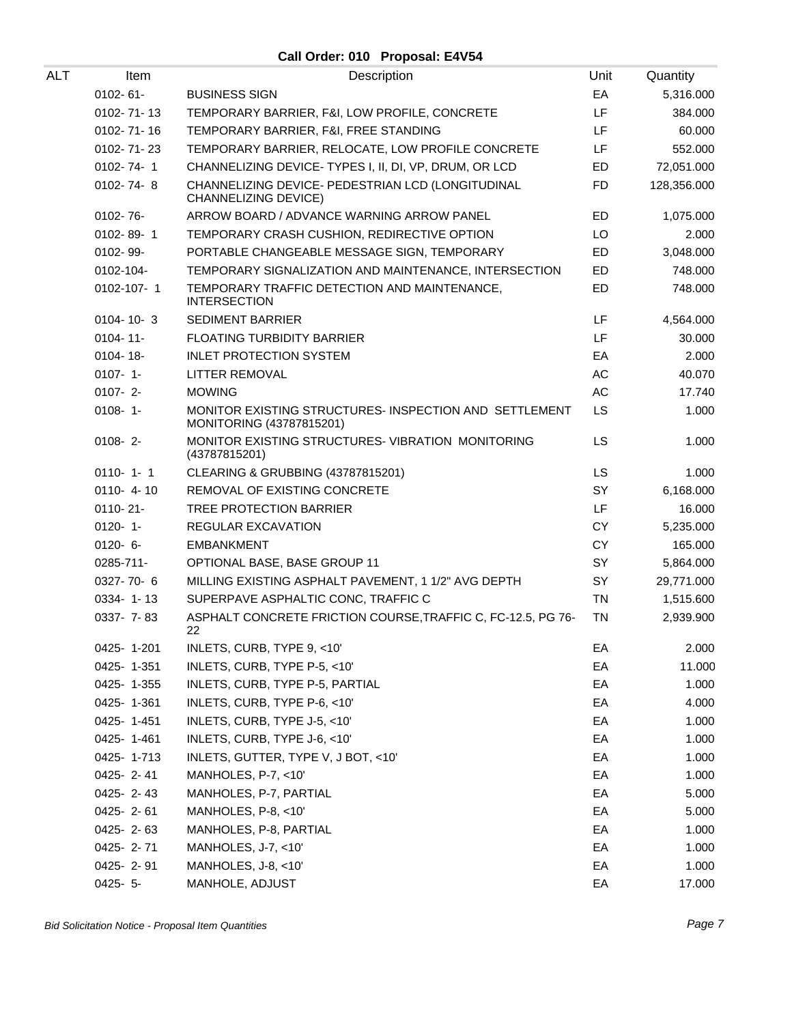**Call Order: 010 Proposal: E4V54**

| ALT | Item             | Description                                                                        | Unit      | Quantity    |
|-----|------------------|------------------------------------------------------------------------------------|-----------|-------------|
|     | 0102-61-         | <b>BUSINESS SIGN</b>                                                               | EA        | 5,316.000   |
|     | 0102-71-13       | TEMPORARY BARRIER, F&I, LOW PROFILE, CONCRETE                                      | LF        | 384.000     |
|     | 0102-71-16       | TEMPORARY BARRIER, F&I, FREE STANDING                                              | LF        | 60.000      |
|     | $0102 - 71 - 23$ | TEMPORARY BARRIER, RELOCATE, LOW PROFILE CONCRETE                                  | LF        | 552.000     |
|     | 0102-74-1        | CHANNELIZING DEVICE- TYPES I, II, DI, VP, DRUM, OR LCD                             | ED        | 72,051.000  |
|     | $0102 - 74 - 8$  | CHANNELIZING DEVICE- PEDESTRIAN LCD (LONGITUDINAL<br><b>CHANNELIZING DEVICE)</b>   | <b>FD</b> | 128,356.000 |
|     | $0102 - 76 -$    | ARROW BOARD / ADVANCE WARNING ARROW PANEL                                          | ED        | 1,075.000   |
|     | 0102-89-1        | TEMPORARY CRASH CUSHION, REDIRECTIVE OPTION                                        | LO        | 2.000       |
|     | 0102-99-         | PORTABLE CHANGEABLE MESSAGE SIGN, TEMPORARY                                        | ED        | 3,048.000   |
|     | 0102-104-        | TEMPORARY SIGNALIZATION AND MAINTENANCE, INTERSECTION                              | ED        | 748.000     |
|     | 0102-107-1       | TEMPORARY TRAFFIC DETECTION AND MAINTENANCE,<br><b>INTERSECTION</b>                | <b>ED</b> | 748.000     |
|     | $0104 - 10 - 3$  | <b>SEDIMENT BARRIER</b>                                                            | <b>LF</b> | 4,564.000   |
|     | $0104 - 11$      | <b>FLOATING TURBIDITY BARRIER</b>                                                  | LF        | 30.000      |
|     | 0104-18-         | <b>INLET PROTECTION SYSTEM</b>                                                     | EA        | 2.000       |
|     | $0107 - 1 -$     | LITTER REMOVAL                                                                     | AC        | 40.070      |
|     | $0107 - 2$       | <b>MOWING</b>                                                                      | AC        | 17.740      |
|     | $0108 - 1$       | MONITOR EXISTING STRUCTURES- INSPECTION AND SETTLEMENT<br>MONITORING (43787815201) | <b>LS</b> | 1.000       |
|     | $0108 - 2$       | MONITOR EXISTING STRUCTURES- VIBRATION MONITORING<br>(43787815201)                 | LS        | 1.000       |
|     | $0110 - 1 - 1$   | CLEARING & GRUBBING (43787815201)                                                  | <b>LS</b> | 1.000       |
|     | $0110 - 4 - 10$  | REMOVAL OF EXISTING CONCRETE                                                       | SY        | 6,168.000   |
|     | $0110 - 21 -$    | TREE PROTECTION BARRIER                                                            | LF        | 16.000      |
|     | $0120 - 1$       | REGULAR EXCAVATION                                                                 | CY        | 5,235.000   |
|     | $0120 - 6 -$     | <b>EMBANKMENT</b>                                                                  | <b>CY</b> | 165.000     |
|     | 0285-711-        | OPTIONAL BASE, BASE GROUP 11                                                       | SY        | 5,864.000   |
|     | 0327-70-6        | MILLING EXISTING ASPHALT PAVEMENT, 1 1/2" AVG DEPTH                                | SY        | 29,771.000  |
|     | 0334-1-13        | SUPERPAVE ASPHALTIC CONC, TRAFFIC C                                                | <b>TN</b> | 1,515.600   |
|     | 0337- 7-83       | ASPHALT CONCRETE FRICTION COURSE, TRAFFIC C, FC-12.5, PG 76-<br>22                 | <b>TN</b> | 2,939.900   |
|     | 0425-1-201       | INLETS, CURB, TYPE 9, <10'                                                         | EA        | 2.000       |
|     | 0425-1-351       | INLETS, CURB, TYPE P-5, <10'                                                       | EA        | 11.000      |
|     | 0425-1-355       | INLETS, CURB, TYPE P-5, PARTIAL                                                    | EA        | 1.000       |
|     | 0425-1-361       | INLETS, CURB, TYPE P-6, <10'                                                       | EA        | 4.000       |
|     | 0425-1-451       | INLETS, CURB, TYPE J-5, <10'                                                       | EA        | 1.000       |
|     | 0425-1-461       | INLETS, CURB, TYPE J-6, <10'                                                       | EA        | 1.000       |
|     | 0425-1-713       | INLETS, GUTTER, TYPE V, J BOT, <10'                                                | EA        | 1.000       |
|     | 0425-2-41        | MANHOLES, P-7, <10'                                                                | EA        | 1.000       |
|     | 0425-2-43        | MANHOLES, P-7, PARTIAL                                                             | EA        | 5.000       |
|     | 0425-2-61        | MANHOLES, P-8, <10'                                                                | EA        | 5.000       |
|     | 0425-2-63        | MANHOLES, P-8, PARTIAL                                                             | EA        | 1.000       |
|     | 0425-2-71        | MANHOLES, J-7, <10'                                                                | EA        | 1.000       |
|     | 0425-2-91        | MANHOLES, J-8, <10'                                                                | EA        | 1.000       |
|     | $0425 - 5 -$     | MANHOLE, ADJUST                                                                    | EA        | 17.000      |
|     |                  |                                                                                    |           |             |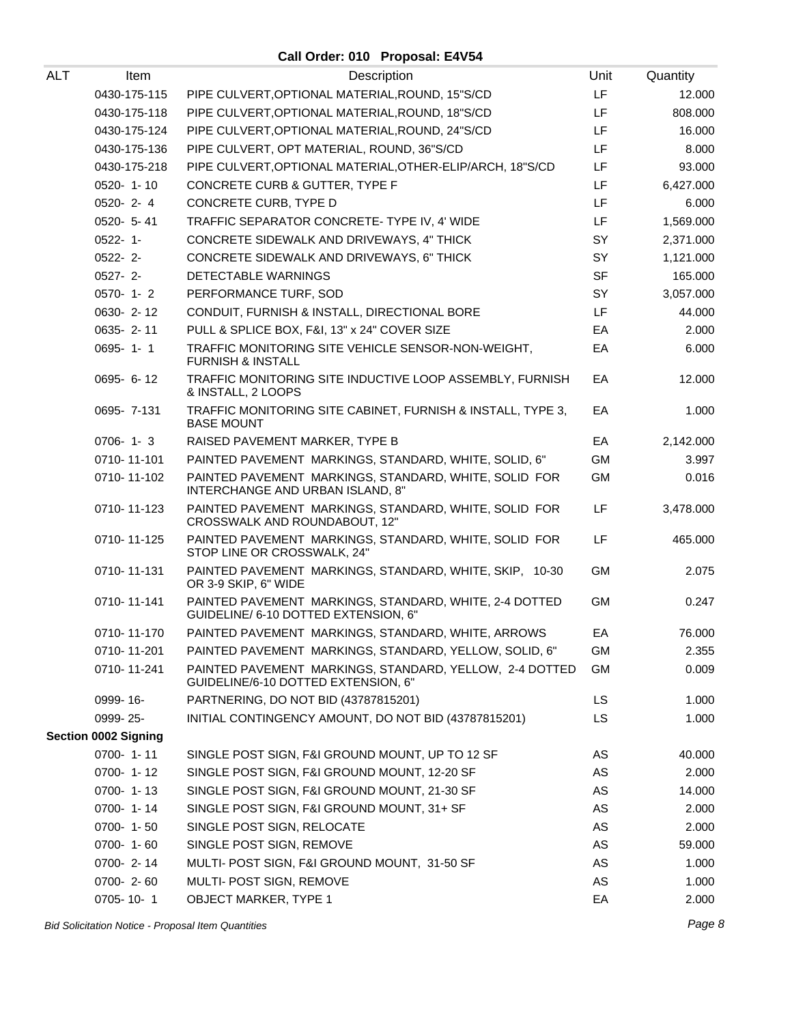| ALT | Item                        | Description                                                                                    | Unit      | Quantity  |
|-----|-----------------------------|------------------------------------------------------------------------------------------------|-----------|-----------|
|     | 0430-175-115                | PIPE CULVERT, OPTIONAL MATERIAL, ROUND, 15"S/CD                                                | LF.       | 12.000    |
|     | 0430-175-118                | PIPE CULVERT, OPTIONAL MATERIAL, ROUND, 18"S/CD                                                | LF        | 808.000   |
|     | 0430-175-124                | PIPE CULVERT, OPTIONAL MATERIAL, ROUND, 24"S/CD                                                | LF.       | 16.000    |
|     | 0430-175-136                | PIPE CULVERT, OPT MATERIAL, ROUND, 36"S/CD                                                     | LF.       | 8.000     |
|     | 0430-175-218                | PIPE CULVERT, OPTIONAL MATERIAL, OTHER-ELIP/ARCH, 18"S/CD                                      | LF        | 93.000    |
|     | 0520-1-10                   | CONCRETE CURB & GUTTER, TYPE F                                                                 | LF.       | 6,427.000 |
|     | 0520-2-4                    | CONCRETE CURB, TYPE D                                                                          | LF.       | 6.000     |
|     | 0520- 5-41                  | TRAFFIC SEPARATOR CONCRETE- TYPE IV, 4' WIDE                                                   | LF        | 1,569.000 |
|     | $0522 - 1$ -                | CONCRETE SIDEWALK AND DRIVEWAYS, 4" THICK                                                      | SY        | 2,371.000 |
|     | $0522 - 2$ -                | CONCRETE SIDEWALK AND DRIVEWAYS, 6" THICK                                                      | SY        | 1,121.000 |
|     | $0527 - 2 -$                | DETECTABLE WARNINGS                                                                            | <b>SF</b> | 165.000   |
|     | $0570 - 1 - 2$              | PERFORMANCE TURF, SOD                                                                          | SY        | 3,057.000 |
|     | 0630-2-12                   | CONDUIT, FURNISH & INSTALL, DIRECTIONAL BORE                                                   | LF.       | 44.000    |
|     | 0635-2-11                   | PULL & SPLICE BOX, F&I, 13" x 24" COVER SIZE                                                   | EA        | 2.000     |
|     | $0695 - 1 - 1$              | TRAFFIC MONITORING SITE VEHICLE SENSOR-NON-WEIGHT,<br><b>FURNISH &amp; INSTALL</b>             | EA        | 6.000     |
|     | 0695- 6-12                  | TRAFFIC MONITORING SITE INDUCTIVE LOOP ASSEMBLY, FURNISH<br>& INSTALL, 2 LOOPS                 | EA        | 12.000    |
|     | 0695-7-131                  | TRAFFIC MONITORING SITE CABINET, FURNISH & INSTALL, TYPE 3,<br><b>BASE MOUNT</b>               | EA        | 1.000     |
|     | $0706 - 1 - 3$              | RAISED PAVEMENT MARKER, TYPE B                                                                 | EA        | 2,142.000 |
|     | 0710-11-101                 | PAINTED PAVEMENT MARKINGS, STANDARD, WHITE, SOLID, 6"                                          | <b>GM</b> | 3.997     |
|     | 0710-11-102                 | PAINTED PAVEMENT MARKINGS, STANDARD, WHITE, SOLID FOR<br>INTERCHANGE AND URBAN ISLAND, 8"      | <b>GM</b> | 0.016     |
|     | 0710-11-123                 | PAINTED PAVEMENT MARKINGS, STANDARD, WHITE, SOLID FOR<br>CROSSWALK AND ROUNDABOUT, 12"         | LF        | 3,478.000 |
|     | 0710-11-125                 | PAINTED PAVEMENT MARKINGS, STANDARD, WHITE, SOLID FOR<br>STOP LINE OR CROSSWALK, 24"           | LF        | 465.000   |
|     | 0710-11-131                 | PAINTED PAVEMENT MARKINGS, STANDARD, WHITE, SKIP, 10-30<br>OR 3-9 SKIP, 6" WIDE                | GM        | 2.075     |
|     | 0710-11-141                 | PAINTED PAVEMENT MARKINGS, STANDARD, WHITE, 2-4 DOTTED<br>GUIDELINE/ 6-10 DOTTED EXTENSION, 6" | GM        | 0.247     |
|     | 0710-11-170                 | PAINTED PAVEMENT MARKINGS, STANDARD, WHITE, ARROWS                                             | EA        | 76.000    |
|     | 0710-11-201                 | PAINTED PAVEMENT MARKINGS, STANDARD, YELLOW, SOLID, 6"                                         | GM        | 2.355     |
|     | 0710-11-241                 | PAINTED PAVEMENT MARKINGS, STANDARD, YELLOW, 2-4 DOTTED<br>GUIDELINE/6-10 DOTTED EXTENSION, 6" | GM        | 0.009     |
|     | 0999-16-                    | PARTNERING, DO NOT BID (43787815201)                                                           | LS.       | 1.000     |
|     | 0999-25-                    | INITIAL CONTINGENCY AMOUNT, DO NOT BID (43787815201)                                           | LS.       | 1.000     |
|     | <b>Section 0002 Signing</b> |                                                                                                |           |           |
|     | 0700-1-11                   | SINGLE POST SIGN, F&I GROUND MOUNT, UP TO 12 SF                                                | AS        | 40.000    |
|     | 0700-1-12                   | SINGLE POST SIGN, F&I GROUND MOUNT, 12-20 SF                                                   | AS        | 2.000     |
|     | $0700 - 1 - 13$             | SINGLE POST SIGN, F&I GROUND MOUNT, 21-30 SF                                                   | AS        | 14.000    |
|     | $0700 - 1 - 14$             | SINGLE POST SIGN, F&I GROUND MOUNT, 31+ SF                                                     | AS        | 2.000     |
|     | $0700 - 1 - 50$             | SINGLE POST SIGN, RELOCATE                                                                     | AS        | 2.000     |
|     | 0700-1-60                   | SINGLE POST SIGN, REMOVE                                                                       | AS        | 59.000    |
|     | 0700-2-14                   | MULTI- POST SIGN, F&I GROUND MOUNT, 31-50 SF                                                   | AS        | 1.000     |
|     | 0700-2-60                   | MULTI- POST SIGN, REMOVE                                                                       | AS        | 1.000     |
|     | 0705-10-1                   | <b>OBJECT MARKER, TYPE 1</b>                                                                   | EA        | 2.000     |
|     |                             |                                                                                                |           |           |

Bid Solicitation Notice - Proposal Item Quantities **Page 8** and the set of the set of the set of the set of the set of the set of the set of the set of the set of the set of the set of the set of the set of the set of the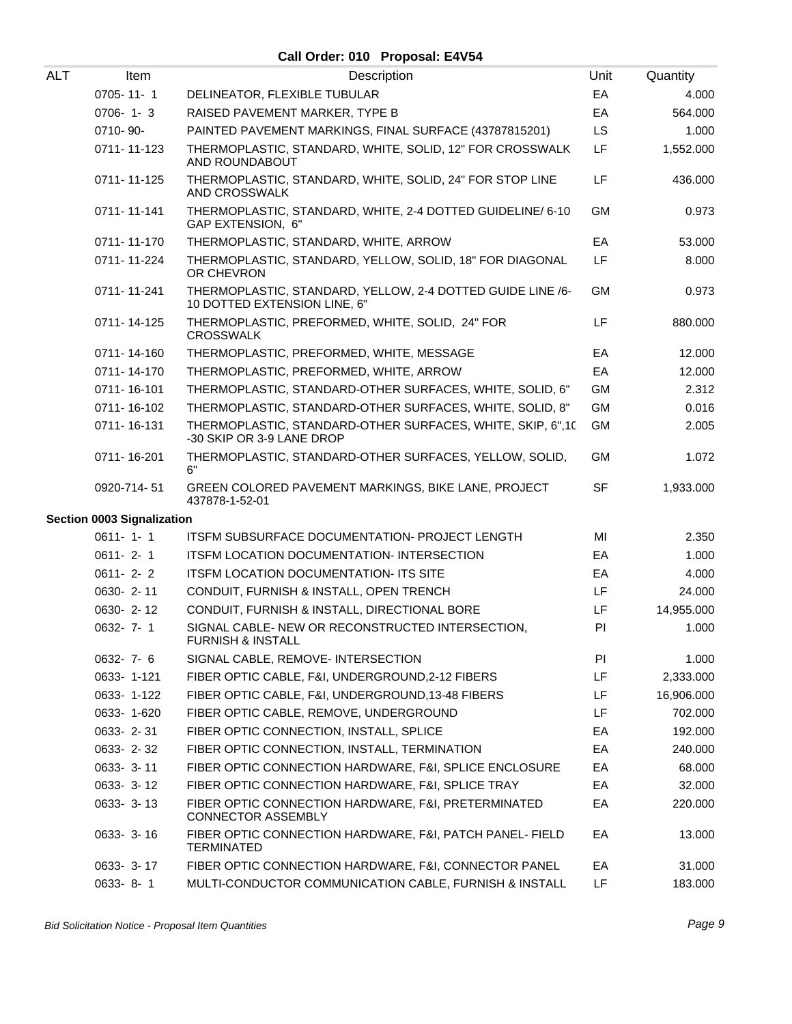| ALT | Item                              | Description                                                                                | Unit      | Quantity   |
|-----|-----------------------------------|--------------------------------------------------------------------------------------------|-----------|------------|
|     | $0705 - 11 - 1$                   | DELINEATOR, FLEXIBLE TUBULAR                                                               | EA        | 4.000      |
|     | $0706 - 1 - 3$                    | RAISED PAVEMENT MARKER, TYPE B                                                             | EA        | 564.000    |
|     | 0710-90-                          | PAINTED PAVEMENT MARKINGS, FINAL SURFACE (43787815201)                                     | <b>LS</b> | 1.000      |
|     | 0711-11-123                       | THERMOPLASTIC, STANDARD, WHITE, SOLID, 12" FOR CROSSWALK<br>AND ROUNDABOUT                 | LF        | 1,552.000  |
|     | 0711-11-125                       | THERMOPLASTIC, STANDARD, WHITE, SOLID, 24" FOR STOP LINE<br>AND CROSSWALK                  | LF        | 436.000    |
|     | 0711-11-141                       | THERMOPLASTIC, STANDARD, WHITE, 2-4 DOTTED GUIDELINE/ 6-10<br>GAP EXTENSION, 6"            | <b>GM</b> | 0.973      |
|     | 0711-11-170                       | THERMOPLASTIC, STANDARD, WHITE, ARROW                                                      | EA        | 53.000     |
|     | 0711-11-224                       | THERMOPLASTIC, STANDARD, YELLOW, SOLID, 18" FOR DIAGONAL<br>OR CHEVRON                     | LF        | 8.000      |
|     | 0711-11-241                       | THERMOPLASTIC, STANDARD, YELLOW, 2-4 DOTTED GUIDE LINE /6-<br>10 DOTTED EXTENSION LINE, 6" | <b>GM</b> | 0.973      |
|     | 0711-14-125                       | THERMOPLASTIC, PREFORMED, WHITE, SOLID, 24" FOR<br><b>CROSSWALK</b>                        | LF        | 880.000    |
|     | 0711-14-160                       | THERMOPLASTIC, PREFORMED, WHITE, MESSAGE                                                   | EA        | 12.000     |
|     | 0711-14-170                       | THERMOPLASTIC, PREFORMED, WHITE, ARROW                                                     | EA        | 12.000     |
|     | 0711-16-101                       | THERMOPLASTIC, STANDARD-OTHER SURFACES, WHITE, SOLID, 6"                                   | <b>GM</b> | 2.312      |
|     | 0711-16-102                       | THERMOPLASTIC, STANDARD-OTHER SURFACES, WHITE, SOLID, 8"                                   | <b>GM</b> | 0.016      |
|     | 0711-16-131                       | THERMOPLASTIC, STANDARD-OTHER SURFACES, WHITE, SKIP, 6",10<br>-30 SKIP OR 3-9 LANE DROP    | <b>GM</b> | 2.005      |
|     | 0711-16-201                       | THERMOPLASTIC, STANDARD-OTHER SURFACES, YELLOW, SOLID,<br>6"                               | <b>GM</b> | 1.072      |
|     | 0920-714-51                       | GREEN COLORED PAVEMENT MARKINGS, BIKE LANE, PROJECT<br>437878-1-52-01                      | <b>SF</b> | 1,933.000  |
|     | <b>Section 0003 Signalization</b> |                                                                                            |           |            |
|     | $0611 - 1 - 1$                    | <b>ITSFM SUBSURFACE DOCUMENTATION- PROJECT LENGTH</b>                                      | MI        | 2.350      |
|     | $0611 - 2 - 1$                    | ITSFM LOCATION DOCUMENTATION- INTERSECTION                                                 | EA        | 1.000      |
|     | $0611 - 2 - 2$                    | <b>ITSFM LOCATION DOCUMENTATION- ITS SITE</b>                                              | EA        | 4.000      |
|     | 0630-2-11                         | CONDUIT, FURNISH & INSTALL, OPEN TRENCH                                                    | LF        | 24.000     |
|     | 0630-2-12                         | CONDUIT, FURNISH & INSTALL, DIRECTIONAL BORE                                               | LF        | 14,955.000 |
|     | 0632-7-1                          | SIGNAL CABLE- NEW OR RECONSTRUCTED INTERSECTION,<br><b>FURNISH &amp; INSTALL</b>           | <b>PI</b> | 1.000      |
|     | $0632 - 7 - 6$                    | SIGNAL CABLE, REMOVE- INTERSECTION                                                         | PI.       | 1.000      |
|     | 0633-1-121                        | FIBER OPTIC CABLE, F&I, UNDERGROUND,2-12 FIBERS                                            | LF        | 2,333.000  |
|     | 0633-1-122                        | FIBER OPTIC CABLE, F&I, UNDERGROUND, 13-48 FIBERS                                          | LF        | 16,906.000 |
|     | 0633-1-620                        | FIBER OPTIC CABLE, REMOVE, UNDERGROUND                                                     | LF        | 702.000    |
|     | 0633-2-31                         | FIBER OPTIC CONNECTION, INSTALL, SPLICE                                                    | EA        | 192.000    |
|     | 0633-2-32                         | FIBER OPTIC CONNECTION, INSTALL, TERMINATION                                               | EA        | 240.000    |
|     | $0633 - 3 - 11$                   | FIBER OPTIC CONNECTION HARDWARE, F&I, SPLICE ENCLOSURE                                     | EA        | 68.000     |
|     | 0633- 3-12                        | FIBER OPTIC CONNECTION HARDWARE, F&I, SPLICE TRAY                                          | EA        | 32.000     |
|     | $0633 - 3 - 13$                   | FIBER OPTIC CONNECTION HARDWARE, F&I, PRETERMINATED<br><b>CONNECTOR ASSEMBLY</b>           | EA        | 220.000    |
|     | 0633-3-16                         | FIBER OPTIC CONNECTION HARDWARE, F&I, PATCH PANEL- FIELD<br>TERMINATED                     | EA        | 13.000     |
|     | 0633- 3-17                        | FIBER OPTIC CONNECTION HARDWARE, F&I, CONNECTOR PANEL                                      | EA        | 31.000     |
|     | 0633-8-1                          | MULTI-CONDUCTOR COMMUNICATION CABLE, FURNISH & INSTALL                                     | LF        | 183.000    |
|     |                                   |                                                                                            |           |            |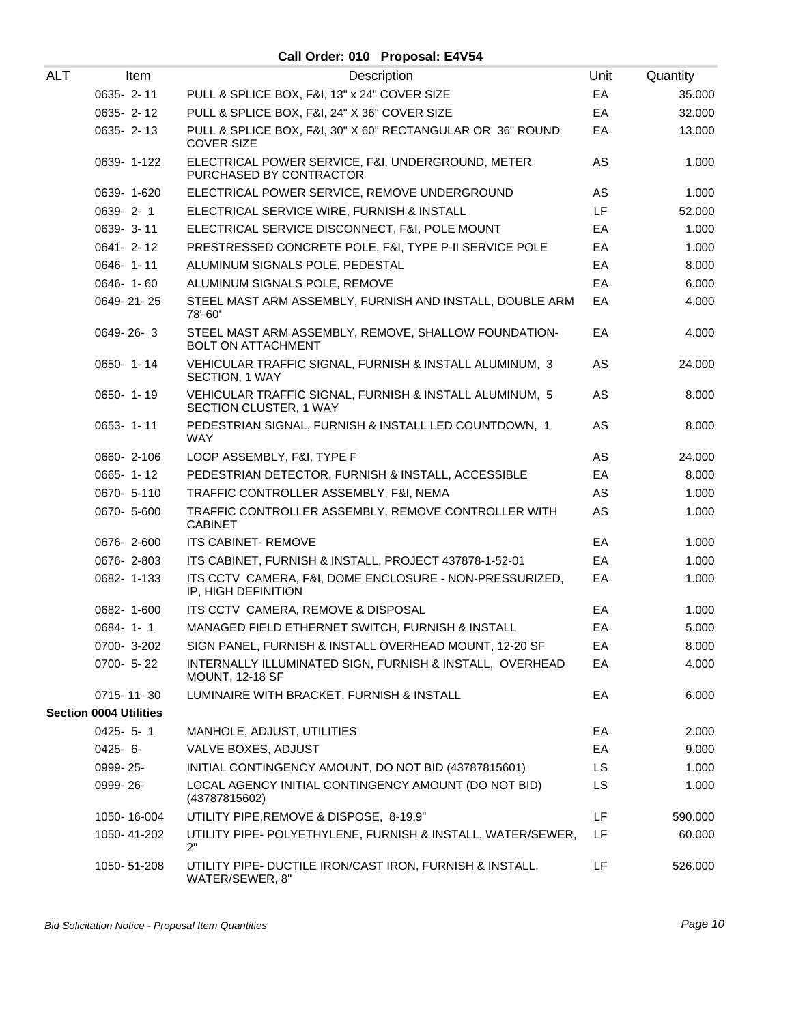| ALT | Item                          | Description                                                                        | Unit | Quantity |
|-----|-------------------------------|------------------------------------------------------------------------------------|------|----------|
|     | 0635-2-11                     | PULL & SPLICE BOX, F&I, 13" x 24" COVER SIZE                                       | EA   | 35.000   |
|     | 0635-2-12                     | PULL & SPLICE BOX, F&I, 24" X 36" COVER SIZE                                       | EA   | 32.000   |
|     | $0635 - 2 - 13$               | PULL & SPLICE BOX, F&I, 30" X 60" RECTANGULAR OR 36" ROUND<br><b>COVER SIZE</b>    | EA   | 13.000   |
|     | 0639-1-122                    | ELECTRICAL POWER SERVICE, F&I, UNDERGROUND, METER<br>PURCHASED BY CONTRACTOR       | AS   | 1.000    |
|     | 0639-1-620                    | ELECTRICAL POWER SERVICE, REMOVE UNDERGROUND                                       | AS   | 1.000    |
|     | 0639-2-1                      | ELECTRICAL SERVICE WIRE, FURNISH & INSTALL                                         | LF.  | 52.000   |
|     | 0639-3-11                     | ELECTRICAL SERVICE DISCONNECT, F&I, POLE MOUNT                                     | EA   | 1.000    |
|     | $0641 - 2 - 12$               | PRESTRESSED CONCRETE POLE, F&I, TYPE P-II SERVICE POLE                             | EA   | 1.000    |
|     | 0646-1-11                     | ALUMINUM SIGNALS POLE, PEDESTAL                                                    | EA   | 8.000    |
|     | 0646-1-60                     | ALUMINUM SIGNALS POLE, REMOVE                                                      | EA   | 6.000    |
|     | 0649-21-25                    | STEEL MAST ARM ASSEMBLY, FURNISH AND INSTALL, DOUBLE ARM<br>78'-60'                | EA   | 4.000    |
|     | 0649-26-3                     | STEEL MAST ARM ASSEMBLY, REMOVE, SHALLOW FOUNDATION-<br><b>BOLT ON ATTACHMENT</b>  | EA   | 4.000    |
|     | $0650 - 1 - 14$               | VEHICULAR TRAFFIC SIGNAL, FURNISH & INSTALL ALUMINUM, 3<br>SECTION, 1 WAY          | AS   | 24.000   |
|     | 0650-1-19                     | VEHICULAR TRAFFIC SIGNAL, FURNISH & INSTALL ALUMINUM, 5<br>SECTION CLUSTER, 1 WAY  | AS   | 8.000    |
|     | $0653 - 1 - 11$               | PEDESTRIAN SIGNAL, FURNISH & INSTALL LED COUNTDOWN, 1<br><b>WAY</b>                | AS   | 8.000    |
|     | 0660-2-106                    | LOOP ASSEMBLY, F&I, TYPE F                                                         | AS   | 24.000   |
|     | 0665-1-12                     | PEDESTRIAN DETECTOR, FURNISH & INSTALL, ACCESSIBLE                                 | EA   | 8.000    |
|     | 0670- 5-110                   | TRAFFIC CONTROLLER ASSEMBLY, F&I, NEMA                                             | AS.  | 1.000    |
|     | 0670- 5-600                   | TRAFFIC CONTROLLER ASSEMBLY, REMOVE CONTROLLER WITH<br><b>CABINET</b>              | AS   | 1.000    |
|     | 0676-2-600                    | <b>ITS CABINET- REMOVE</b>                                                         | EA   | 1.000    |
|     | 0676-2-803                    | ITS CABINET, FURNISH & INSTALL, PROJECT 437878-1-52-01                             | EA   | 1.000    |
|     | 0682-1-133                    | ITS CCTV CAMERA, F&I, DOME ENCLOSURE - NON-PRESSURIZED,<br>IP, HIGH DEFINITION     | EA   | 1.000    |
|     | 0682-1-600                    | ITS CCTV CAMERA, REMOVE & DISPOSAL                                                 | EA   | 1.000    |
|     | $0684 - 1 - 1$                | MANAGED FIELD ETHERNET SWITCH, FURNISH & INSTALL                                   | EA   | 5.000    |
|     | 0700-3-202                    | SIGN PANEL, FURNISH & INSTALL OVERHEAD MOUNT, 12-20 SF                             | EA   | 8.000    |
|     | $0700 - 5 - 22$               | INTERNALLY ILLUMINATED SIGN, FURNISH & INSTALL, OVERHEAD<br><b>MOUNT, 12-18 SF</b> | EA   | 4.000    |
|     | 0715-11-30                    | LUMINAIRE WITH BRACKET, FURNISH & INSTALL                                          | EA   | 6.000    |
|     | <b>Section 0004 Utilities</b> |                                                                                    |      |          |
|     | $0425 - 5 - 1$                | MANHOLE, ADJUST, UTILITIES                                                         | EA   | 2.000    |
|     | $0425 - 6 -$                  | VALVE BOXES, ADJUST                                                                | EA   | 9.000    |
|     | 0999-25-                      | INITIAL CONTINGENCY AMOUNT, DO NOT BID (43787815601)                               | LS.  | 1.000    |
|     | 0999-26-                      | LOCAL AGENCY INITIAL CONTINGENCY AMOUNT (DO NOT BID)<br>(43787815602)              | LS.  | 1.000    |
|     | 1050-16-004                   | UTILITY PIPE, REMOVE & DISPOSE, 8-19.9"                                            | LF   | 590.000  |
|     | 1050-41-202                   | UTILITY PIPE- POLYETHYLENE, FURNISH & INSTALL, WATER/SEWER,<br>2"                  | LF   | 60.000   |
|     | 1050-51-208                   | UTILITY PIPE- DUCTILE IRON/CAST IRON, FURNISH & INSTALL,<br>WATER/SEWER, 8"        | LF   | 526.000  |